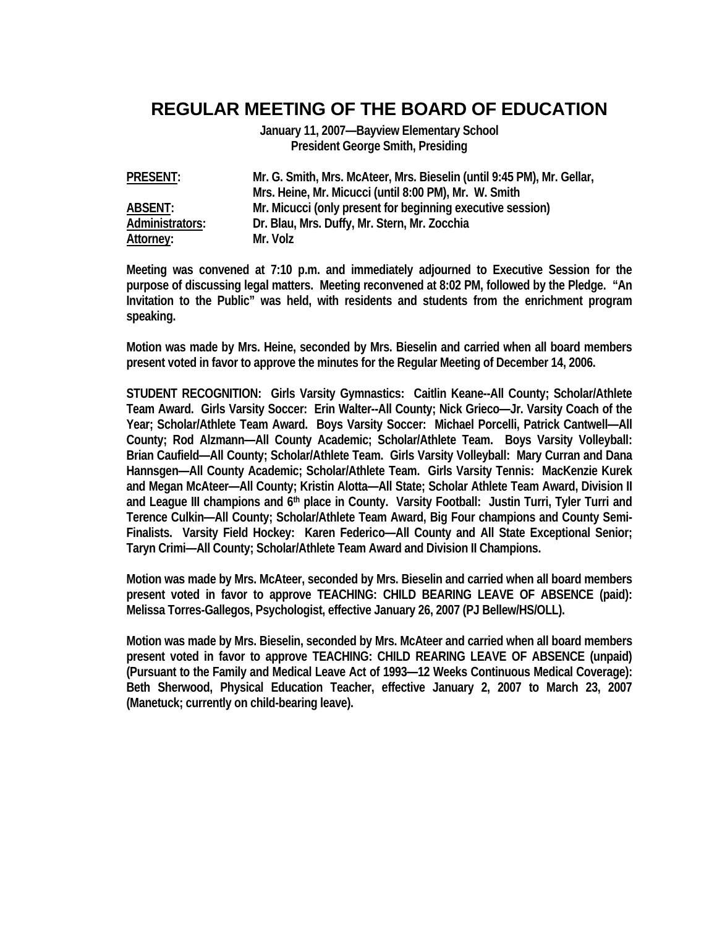## **REGULAR MEETING OF THE BOARD OF EDUCATION**

**January 11, 2007—Bayview Elementary School President George Smith, Presiding** 

**PRESENT: Mr. G. Smith, Mrs. McAteer, Mrs. Bieselin (until 9:45 PM), Mr. Gellar, Mrs. Heine, Mr. Micucci (until 8:00 PM), Mr. W. Smith ABSENT: Mr. Micucci (only present for beginning executive session) Administrators: Dr. Blau, Mrs. Duffy, Mr. Stern, Mr. Zocchia**  Attorney: Mr. Volz

**Meeting was convened at 7:10 p.m. and immediately adjourned to Executive Session for the purpose of discussing legal matters. Meeting reconvened at 8:02 PM, followed by the Pledge. "An Invitation to the Public" was held, with residents and students from the enrichment program speaking.** 

**Motion was made by Mrs. Heine, seconded by Mrs. Bieselin and carried when all board members present voted in favor to approve the minutes for the Regular Meeting of December 14, 2006.** 

**STUDENT RECOGNITION: Girls Varsity Gymnastics: Caitlin Keane--All County; Scholar/Athlete Team Award. Girls Varsity Soccer: Erin Walter--All County; Nick Grieco—Jr. Varsity Coach of the Year; Scholar/Athlete Team Award. Boys Varsity Soccer: Michael Porcelli, Patrick Cantwell—All County; Rod Alzmann—All County Academic; Scholar/Athlete Team. Boys Varsity Volleyball: Brian Caufield—All County; Scholar/Athlete Team. Girls Varsity Volleyball: Mary Curran and Dana Hannsgen—All County Academic; Scholar/Athlete Team. Girls Varsity Tennis: MacKenzie Kurek and Megan McAteer—All County; Kristin Alotta—All State; Scholar Athlete Team Award, Division II**  and League III champions and 6<sup>th</sup> place in County. Varsity Football: Justin Turri, Tyler Turri and **Terence Culkin—All County; Scholar/Athlete Team Award, Big Four champions and County Semi-Finalists. Varsity Field Hockey: Karen Federico—All County and All State Exceptional Senior; Taryn Crimi—All County; Scholar/Athlete Team Award and Division II Champions.** 

**Motion was made by Mrs. McAteer, seconded by Mrs. Bieselin and carried when all board members present voted in favor to approve TEACHING: CHILD BEARING LEAVE OF ABSENCE (paid): Melissa Torres-Gallegos, Psychologist, effective January 26, 2007 (PJ Bellew/HS/OLL).** 

**Motion was made by Mrs. Bieselin, seconded by Mrs. McAteer and carried when all board members present voted in favor to approve TEACHING: CHILD REARING LEAVE OF ABSENCE (unpaid) (Pursuant to the Family and Medical Leave Act of 1993—12 Weeks Continuous Medical Coverage): Beth Sherwood, Physical Education Teacher, effective January 2, 2007 to March 23, 2007 (Manetuck; currently on child-bearing leave).**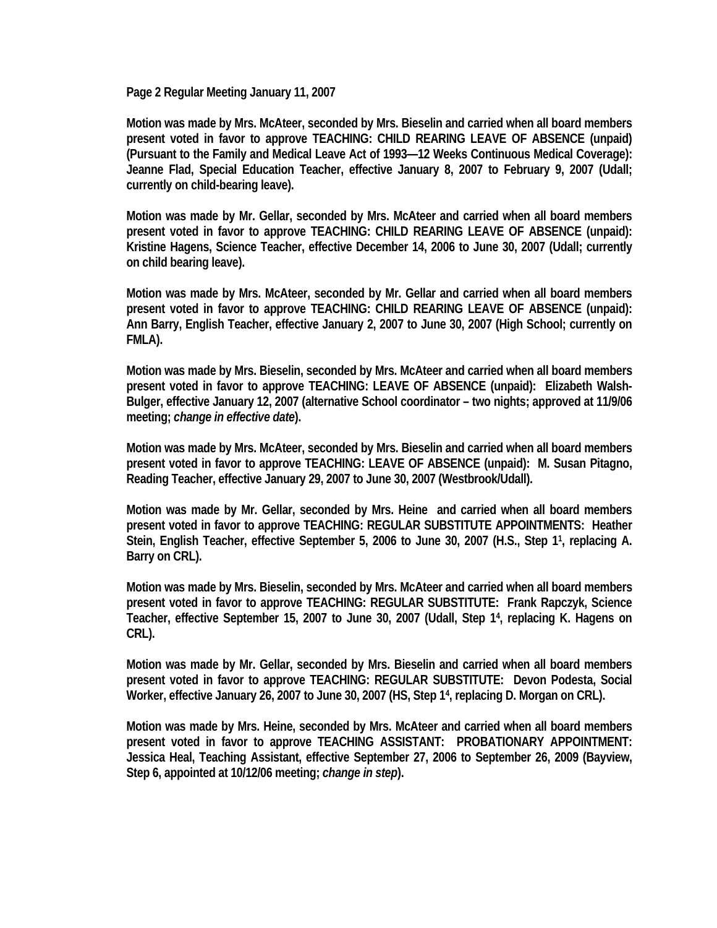**Page 2 Regular Meeting January 11, 2007** 

**Motion was made by Mrs. McAteer, seconded by Mrs. Bieselin and carried when all board members present voted in favor to approve TEACHING: CHILD REARING LEAVE OF ABSENCE (unpaid) (Pursuant to the Family and Medical Leave Act of 1993—12 Weeks Continuous Medical Coverage): Jeanne Flad, Special Education Teacher, effective January 8, 2007 to February 9, 2007 (Udall; currently on child-bearing leave).** 

**Motion was made by Mr. Gellar, seconded by Mrs. McAteer and carried when all board members present voted in favor to approve TEACHING: CHILD REARING LEAVE OF ABSENCE (unpaid): Kristine Hagens, Science Teacher, effective December 14, 2006 to June 30, 2007 (Udall; currently on child bearing leave).** 

**Motion was made by Mrs. McAteer, seconded by Mr. Gellar and carried when all board members present voted in favor to approve TEACHING: CHILD REARING LEAVE OF ABSENCE (unpaid): Ann Barry, English Teacher, effective January 2, 2007 to June 30, 2007 (High School; currently on FMLA).** 

**Motion was made by Mrs. Bieselin, seconded by Mrs. McAteer and carried when all board members present voted in favor to approve TEACHING: LEAVE OF ABSENCE (unpaid): Elizabeth Walsh-Bulger, effective January 12, 2007 (alternative School coordinator – two nights; approved at 11/9/06 meeting;** *change in effective date***).** 

**Motion was made by Mrs. McAteer, seconded by Mrs. Bieselin and carried when all board members present voted in favor to approve TEACHING: LEAVE OF ABSENCE (unpaid): M. Susan Pitagno, Reading Teacher, effective January 29, 2007 to June 30, 2007 (Westbrook/Udall).** 

**Motion was made by Mr. Gellar, seconded by Mrs. Heine and carried when all board members present voted in favor to approve TEACHING: REGULAR SUBSTITUTE APPOINTMENTS: Heather Stein, English Teacher, effective September 5, 2006 to June 30, 2007 (H.S., Step 11, replacing A. Barry on CRL).** 

**Motion was made by Mrs. Bieselin, seconded by Mrs. McAteer and carried when all board members present voted in favor to approve TEACHING: REGULAR SUBSTITUTE: Frank Rapczyk, Science Teacher, effective September 15, 2007 to June 30, 2007 (Udall, Step 14, replacing K. Hagens on CRL).** 

**Motion was made by Mr. Gellar, seconded by Mrs. Bieselin and carried when all board members present voted in favor to approve TEACHING: REGULAR SUBSTITUTE: Devon Podesta, Social Worker, effective January 26, 2007 to June 30, 2007 (HS, Step 14, replacing D. Morgan on CRL).** 

**Motion was made by Mrs. Heine, seconded by Mrs. McAteer and carried when all board members present voted in favor to approve TEACHING ASSISTANT: PROBATIONARY APPOINTMENT: Jessica Heal, Teaching Assistant, effective September 27, 2006 to September 26, 2009 (Bayview, Step 6, appointed at 10/12/06 meeting;** *change in step***).**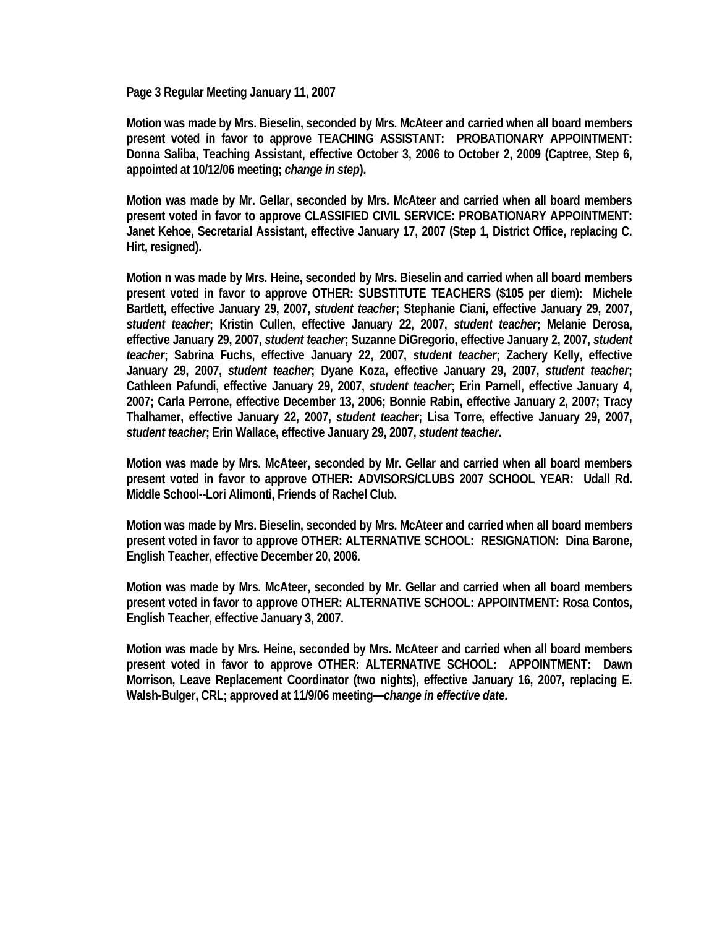**Page 3 Regular Meeting January 11, 2007** 

**Motion was made by Mrs. Bieselin, seconded by Mrs. McAteer and carried when all board members present voted in favor to approve TEACHING ASSISTANT: PROBATIONARY APPOINTMENT: Donna Saliba, Teaching Assistant, effective October 3, 2006 to October 2, 2009 (Captree, Step 6, appointed at 10/12/06 meeting;** *change in step***).** 

**Motion was made by Mr. Gellar, seconded by Mrs. McAteer and carried when all board members present voted in favor to approve CLASSIFIED CIVIL SERVICE: PROBATIONARY APPOINTMENT: Janet Kehoe, Secretarial Assistant, effective January 17, 2007 (Step 1, District Office, replacing C. Hirt, resigned).** 

**Motion n was made by Mrs. Heine, seconded by Mrs. Bieselin and carried when all board members present voted in favor to approve OTHER: SUBSTITUTE TEACHERS (\$105 per diem): Michele Bartlett, effective January 29, 2007,** *student teacher***; Stephanie Ciani, effective January 29, 2007,**  *student teacher***; Kristin Cullen, effective January 22, 2007,** *student teacher***; Melanie Derosa, effective January 29, 2007,** *student teacher***; Suzanne DiGregorio, effective January 2, 2007,** *student teacher***; Sabrina Fuchs, effective January 22, 2007,** *student teacher***; Zachery Kelly, effective January 29, 2007,** *student teacher***; Dyane Koza, effective January 29, 2007,** *student teacher***; Cathleen Pafundi, effective January 29, 2007,** *student teacher***; Erin Parnell, effective January 4, 2007; Carla Perrone, effective December 13, 2006; Bonnie Rabin, effective January 2, 2007; Tracy Thalhamer, effective January 22, 2007,** *student teacher***; Lisa Torre, effective January 29, 2007,**  *student teacher***; Erin Wallace, effective January 29, 2007,** *student teacher***.** 

**Motion was made by Mrs. McAteer, seconded by Mr. Gellar and carried when all board members present voted in favor to approve OTHER: ADVISORS/CLUBS 2007 SCHOOL YEAR: Udall Rd. Middle School--Lori Alimonti, Friends of Rachel Club.** 

**Motion was made by Mrs. Bieselin, seconded by Mrs. McAteer and carried when all board members present voted in favor to approve OTHER: ALTERNATIVE SCHOOL: RESIGNATION: Dina Barone, English Teacher, effective December 20, 2006.** 

**Motion was made by Mrs. McAteer, seconded by Mr. Gellar and carried when all board members present voted in favor to approve OTHER: ALTERNATIVE SCHOOL: APPOINTMENT: Rosa Contos, English Teacher, effective January 3, 2007.** 

**Motion was made by Mrs. Heine, seconded by Mrs. McAteer and carried when all board members present voted in favor to approve OTHER: ALTERNATIVE SCHOOL: APPOINTMENT: Dawn Morrison, Leave Replacement Coordinator (two nights), effective January 16, 2007, replacing E. Walsh-Bulger, CRL; approved at 11/9/06 meeting—***change in effective date***.**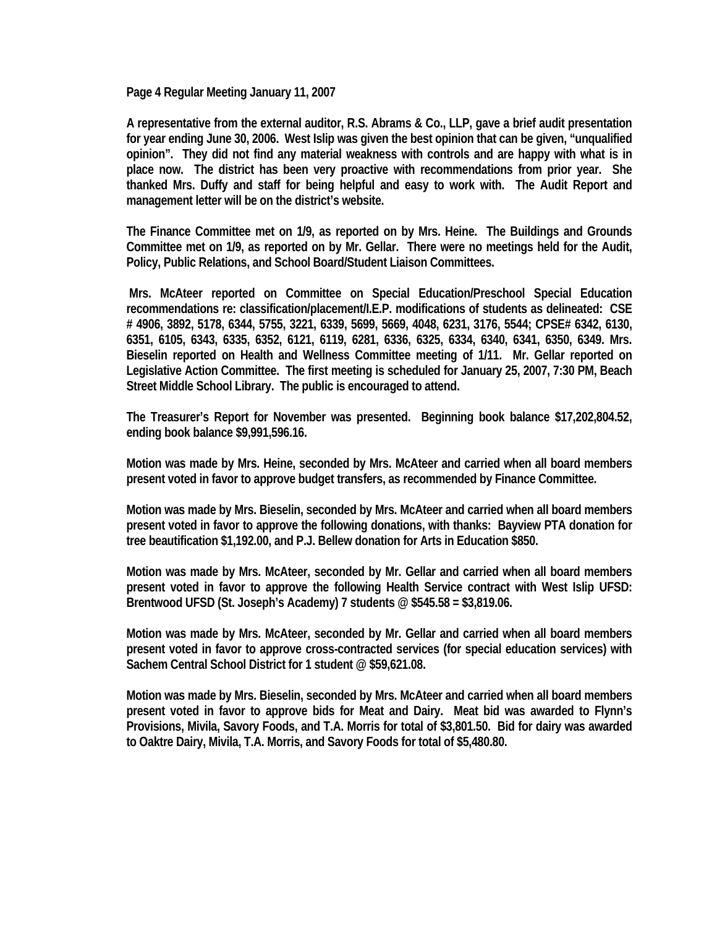**Page 4 Regular Meeting January 11, 2007** 

**A representative from the external auditor, R.S. Abrams & Co., LLP, gave a brief audit presentation for year ending June 30, 2006. West Islip was given the best opinion that can be given, "unqualified opinion". They did not find any material weakness with controls and are happy with what is in place now. The district has been very proactive with recommendations from prior year. She thanked Mrs. Duffy and staff for being helpful and easy to work with. The Audit Report and management letter will be on the district's website.** 

**The Finance Committee met on 1/9, as reported on by Mrs. Heine. The Buildings and Grounds Committee met on 1/9, as reported on by Mr. Gellar. There were no meetings held for the Audit, Policy, Public Relations, and School Board/Student Liaison Committees.** 

 **Mrs. McAteer reported on Committee on Special Education/Preschool Special Education recommendations re: classification/placement/I.E.P. modifications of students as delineated: CSE # 4906, 3892, 5178, 6344, 5755, 3221, 6339, 5699, 5669, 4048, 6231, 3176, 5544; CPSE# 6342, 6130, 6351, 6105, 6343, 6335, 6352, 6121, 6119, 6281, 6336, 6325, 6334, 6340, 6341, 6350, 6349. Mrs. Bieselin reported on Health and Wellness Committee meeting of 1/11. Mr. Gellar reported on Legislative Action Committee. The first meeting is scheduled for January 25, 2007, 7:30 PM, Beach Street Middle School Library. The public is encouraged to attend.** 

**The Treasurer's Report for November was presented. Beginning book balance \$17,202,804.52, ending book balance \$9,991,596.16.** 

**Motion was made by Mrs. Heine, seconded by Mrs. McAteer and carried when all board members present voted in favor to approve budget transfers, as recommended by Finance Committee.** 

**Motion was made by Mrs. Bieselin, seconded by Mrs. McAteer and carried when all board members present voted in favor to approve the following donations, with thanks: Bayview PTA donation for tree beautification \$1,192.00, and P.J. Bellew donation for Arts in Education \$850.** 

**Motion was made by Mrs. McAteer, seconded by Mr. Gellar and carried when all board members present voted in favor to approve the following Health Service contract with West Islip UFSD: Brentwood UFSD (St. Joseph's Academy) 7 students @ \$545.58 = \$3,819.06.** 

**Motion was made by Mrs. McAteer, seconded by Mr. Gellar and carried when all board members present voted in favor to approve cross-contracted services (for special education services) with Sachem Central School District for 1 student @ \$59,621.08.** 

**Motion was made by Mrs. Bieselin, seconded by Mrs. McAteer and carried when all board members present voted in favor to approve bids for Meat and Dairy. Meat bid was awarded to Flynn's Provisions, Mivila, Savory Foods, and T.A. Morris for total of \$3,801.50. Bid for dairy was awarded to Oaktre Dairy, Mivila, T.A. Morris, and Savory Foods for total of \$5,480.80.**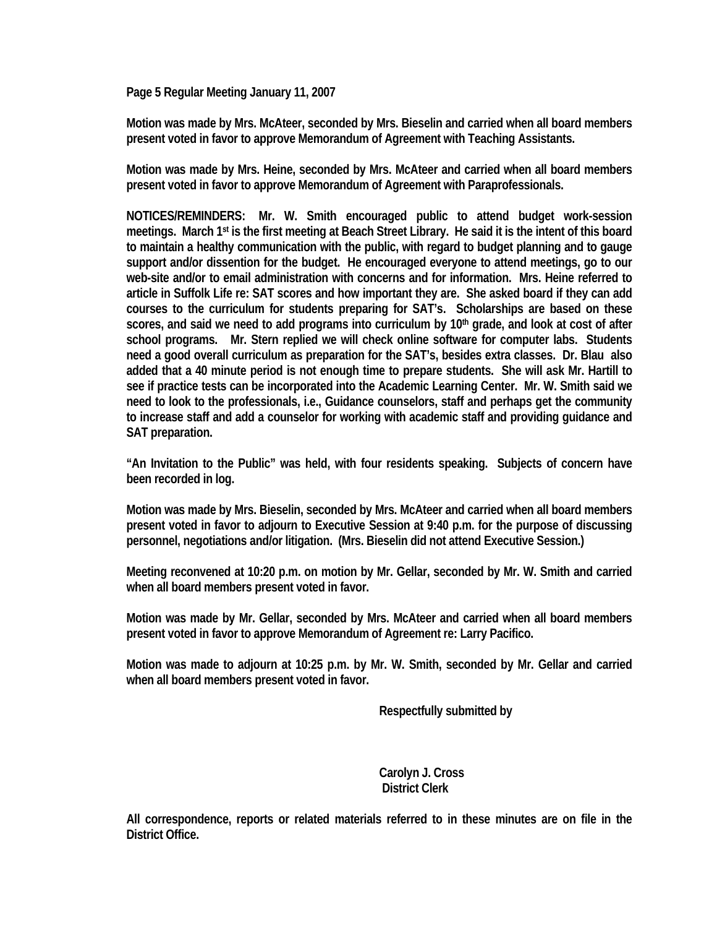**Page 5 Regular Meeting January 11, 2007** 

**Motion was made by Mrs. McAteer, seconded by Mrs. Bieselin and carried when all board members present voted in favor to approve Memorandum of Agreement with Teaching Assistants.** 

**Motion was made by Mrs. Heine, seconded by Mrs. McAteer and carried when all board members present voted in favor to approve Memorandum of Agreement with Paraprofessionals.** 

**NOTICES/REMINDERS: Mr. W. Smith encouraged public to attend budget work-session meetings. March 1st is the first meeting at Beach Street Library. He said it is the intent of this board to maintain a healthy communication with the public, with regard to budget planning and to gauge support and/or dissention for the budget. He encouraged everyone to attend meetings, go to our web-site and/or to email administration with concerns and for information. Mrs. Heine referred to article in Suffolk Life re: SAT scores and how important they are. She asked board if they can add courses to the curriculum for students preparing for SAT's. Scholarships are based on these**  scores, and said we need to add programs into curriculum by 10<sup>th</sup> grade, and look at cost of after **school programs. Mr. Stern replied we will check online software for computer labs. Students need a good overall curriculum as preparation for the SAT's, besides extra classes. Dr. Blau also added that a 40 minute period is not enough time to prepare students. She will ask Mr. Hartill to see if practice tests can be incorporated into the Academic Learning Center. Mr. W. Smith said we need to look to the professionals, i.e., Guidance counselors, staff and perhaps get the community to increase staff and add a counselor for working with academic staff and providing guidance and SAT preparation.** 

**"An Invitation to the Public" was held, with four residents speaking. Subjects of concern have been recorded in log.** 

**Motion was made by Mrs. Bieselin, seconded by Mrs. McAteer and carried when all board members present voted in favor to adjourn to Executive Session at 9:40 p.m. for the purpose of discussing personnel, negotiations and/or litigation. (Mrs. Bieselin did not attend Executive Session.)** 

**Meeting reconvened at 10:20 p.m. on motion by Mr. Gellar, seconded by Mr. W. Smith and carried when all board members present voted in favor.** 

**Motion was made by Mr. Gellar, seconded by Mrs. McAteer and carried when all board members present voted in favor to approve Memorandum of Agreement re: Larry Pacifico.** 

**Motion was made to adjourn at 10:25 p.m. by Mr. W. Smith, seconded by Mr. Gellar and carried when all board members present voted in favor.** 

 **Respectfully submitted by** 

 **Carolyn J. Cross District Clerk** 

**All correspondence, reports or related materials referred to in these minutes are on file in the District Office.**